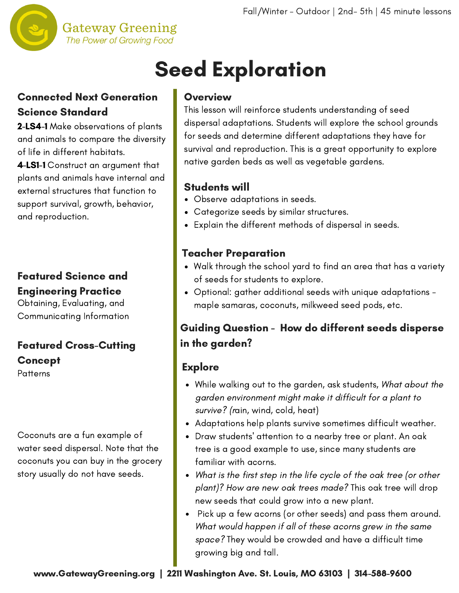

# Seed Exploration

## Connected Next Generation Science Standard

2-LS4-1 Make observations of plants and animals to compare the diversity of life in different habitats.

4-LS1-1 Construct an argument that plants and animals have internal and external structures that function to support survival, growth, behavior, and reproduction.

## Featured Science and Engineering Practice

Obtaining, Evaluating, and Communicating Information

# Featured Cross-Cutting **Concept**

**Patterns** 

Coconuts are a fun example of water seed dispersal. Note that the coconuts you can buy in the grocery story usually do not have seeds.

#### Overview

This lesson will reinforce students understanding of seed dispersal adaptations. Students will explore the school grounds for seeds and determine different adaptations they have for survival and reproduction. This is a great opportunity to explore native garden beds as well as vegetable gardens.

### Students will

- Observe adaptations in seeds.
- Categorize seeds by similar structures.
- Explain the different methods of dispersal in seeds.

## Teacher Preparation

- Walk through the school yard to find an area that has a variety of seeds for students to explore.
- Optional: gather additional seeds with unique adaptations maple samaras, coconuts, milkweed seed pods, etc.

## Guiding Question - How do different seeds disperse in the garden?

## **Explore**

- While walking out to the garden, ask students, What about the garden environment might make it difficult for a plant to survive? (rain, wind, cold, heat)
- Adaptations help plants survive sometimes difficult weather.
- Draw students' attention to a nearby tree or plant. An oak tree is a good example to use, since many students are familiar with acorns.
- What is the first step in the life cycle of the oak tree (or other plant)? How are new oak trees made? This oak tree will drop new seeds that could grow into a new plant.
- Pick up a few acorns (or other seeds) and pass them around. What would happen if all of these acorns grew in the same space? They would be crowded and have a difficult time growing big and tall.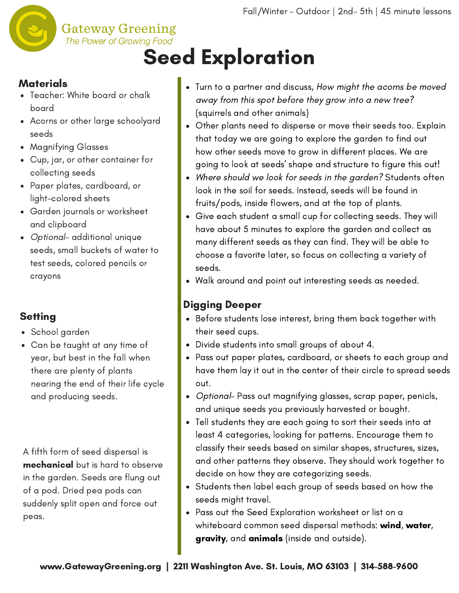

#### **Gateway Greening** The Power of Growing Food

# Seed Exploration

## **Materials**

- Teacher: White board or chalk board
- Acorns or other large schoolyard seeds
- Magnifying Glasses
- Cup, jar, or other container for collecting seeds
- Paper plates, cardboard, or light-colored sheets
- Garden journals or worksheet and clipboard
- Optional- additional unique seeds, small buckets of water to test seeds, colored pencils or crayons

# **Setting**

- School garden
- Can be taught at any time of year, but best in the fall when there are plenty of plants nearing the end of their life cycle and producing seeds.

A fifth form of seed dispersal is mechanical but is hard to observe in the garden. Seeds are flung out of a pod. Dried pea pods can suddenly split open and force out peas.

- Turn to a partner and discuss, How might the acorns be moved away from this spot before they grow into a new tree? (squirrels and other animals)
- Other plants need to disperse or move their seeds too. Explain that today we are going to explore the garden to find out how other seeds move to grow in different places. We are going to look at seeds' shape and structure to figure this out!
- Where should we look for seeds in the garden? Students often look in the soil for seeds. Instead, seeds will be found in fruits/pods, inside flowers, and at the top of plants.
- Give each student a small cup for collecting seeds. They will have about 5 minutes to explore the garden and collect as many different seeds as they can find. They will be able to choose a favorite later, so focus on collecting a variety of seeds.
- Walk around and point out interesting seeds as needed.

# Digging Deeper

- Before students lose interest, bring them back together with their seed cups.
- Divide students into small groups of about 4.
- Pass out paper plates, cardboard, or sheets to each group and have them lay it out in the center of their circle to spread seeds out.
- Optional- Pass out magnifying glasses, scrap paper, penicls, and unique seeds you previously harvested or bought.
- Tell students they are each going to sort their seeds into at least 4 categories, looking for patterns. Encourage them to classify their seeds based on similar shapes, structures, sizes, and other patterns they observe. They should work together to decide on how they are categorizing seeds.
- Students then label each group of seeds based on how the seeds might travel.
- Pass out the Seed Exploration worksheet or list on a whiteboard common seed dispersal methods: wind, water, gravity, and animals (inside and outside).